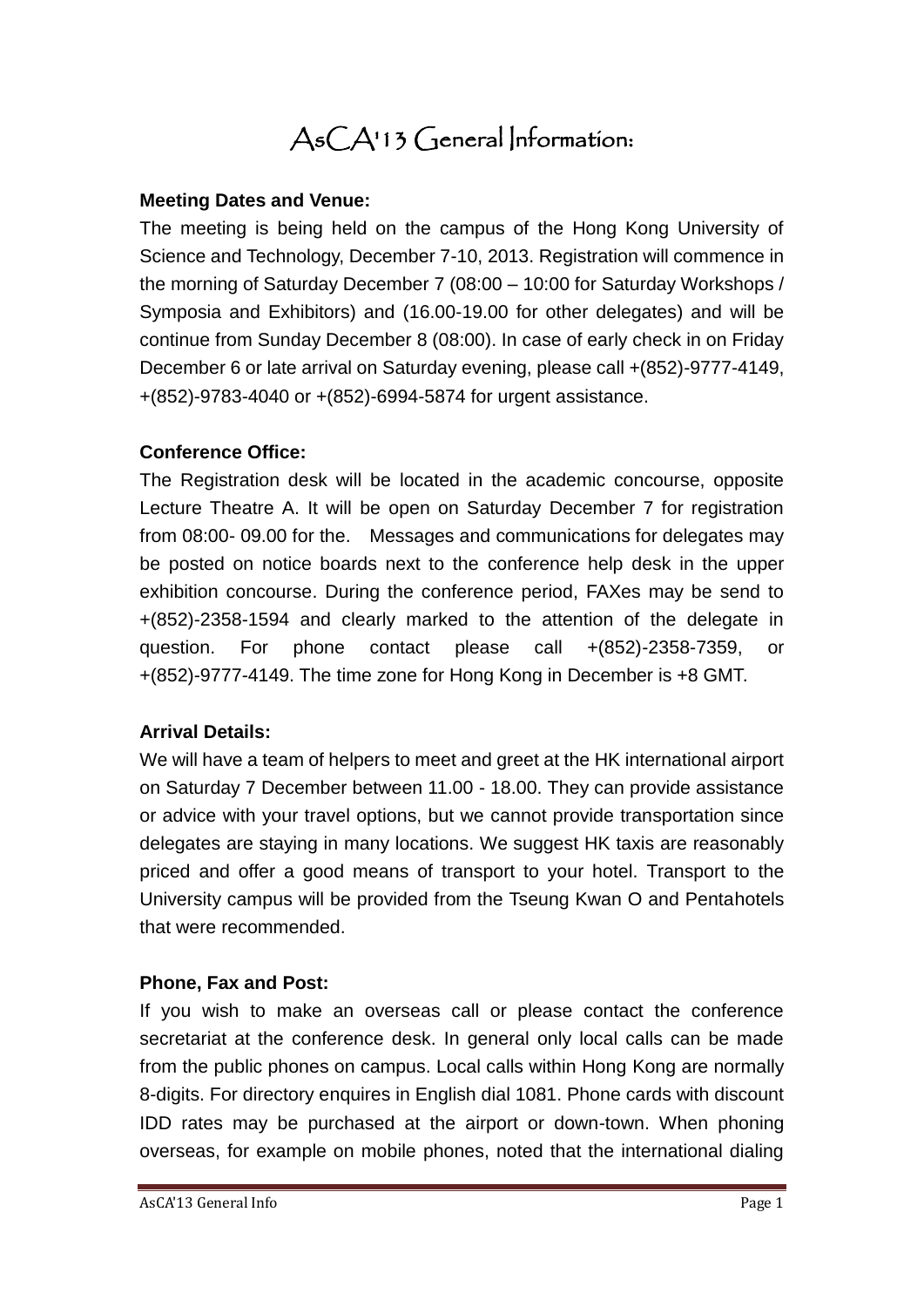# AsCA'13 General Information:

#### **Meeting Dates and Venue:**

The meeting is being held on the campus of the Hong Kong University of Science and Technology, December 7-10, 2013. Registration will commence in the morning of Saturday December 7 (08:00 – 10:00 for Saturday Workshops / Symposia and Exhibitors) and (16.00-19.00 for other delegates) and will be continue from Sunday December 8 (08:00). In case of early check in on Friday December 6 or late arrival on Saturday evening, please call +(852)-9777-4149, +(852)-9783-4040 or +(852)-6994-5874 for urgent assistance.

#### **Conference Office:**

The Registration desk will be located in the academic concourse, opposite Lecture Theatre A. It will be open on Saturday December 7 for registration from 08:00- 09.00 for the. Messages and communications for delegates may be posted on notice boards next to the conference help desk in the upper exhibition concourse. During the conference period, FAXes may be send to +(852)-2358-1594 and clearly marked to the attention of the delegate in question. For phone contact please call +(852)-2358-7359, or +(852)-9777-4149. The time zone for Hong Kong in December is +8 GMT.

#### **Arrival Details:**

We will have a team of helpers to meet and greet at the HK international airport on Saturday 7 December between 11.00 - 18.00. They can provide assistance or advice with your travel options, but we cannot provide transportation since delegates are staying in many locations. We suggest HK taxis are reasonably priced and offer a good means of transport to your hotel. Transport to the University campus will be provided from the Tseung Kwan O and Pentahotels that were recommended.

#### **Phone, Fax and Post:**

If you wish to make an overseas call or please contact the conference secretariat at the conference desk. In general only local calls can be made from the public phones on campus. Local calls within Hong Kong are normally 8-digits. For directory enquires in English dial 1081. Phone cards with discount IDD rates may be purchased at the airport or down-town. When phoning overseas, for example on mobile phones, noted that the international dialing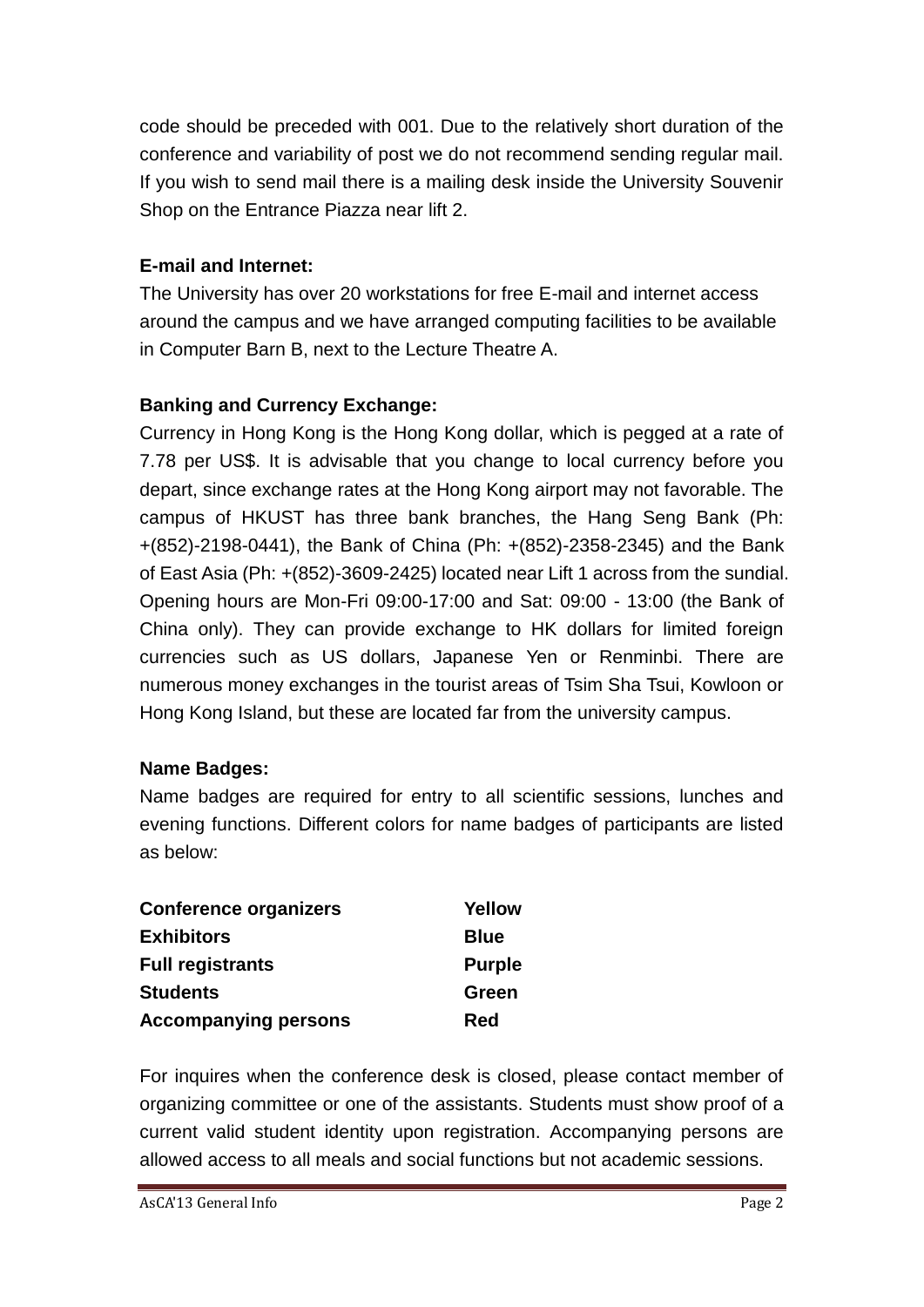code should be preceded with 001. Due to the relatively short duration of the conference and variability of post we do not recommend sending regular mail. If you wish to send mail there is a mailing desk inside the University Souvenir Shop on the Entrance Piazza near lift 2.

## **E-mail and Internet:**

The University has over 20 workstations for free E-mail and internet access around the campus and we have arranged computing facilities to be available in Computer Barn B, next to the Lecture Theatre A.

## **Banking and Currency Exchange:**

Currency in Hong Kong is the Hong Kong dollar, which is pegged at a rate of 7.78 per US\$. It is advisable that you change to local currency before you depart, since exchange rates at the Hong Kong airport may not favorable. The campus of HKUST has three bank branches, the Hang Seng Bank (Ph: +(852)-2198-0441), the Bank of China (Ph: +(852)-2358-2345) and the Bank of East Asia (Ph: +(852)-3609-2425) located near Lift 1 across from the sundial. Opening hours are Mon-Fri 09:00-17:00 and Sat: 09:00 - 13:00 (the Bank of China only). They can provide exchange to HK dollars for limited foreign currencies such as US dollars, Japanese Yen or Renminbi. There are numerous money exchanges in the tourist areas of Tsim Sha Tsui, Kowloon or Hong Kong Island, but these are located far from the university campus.

## **Name Badges:**

Name badges are required for entry to all scientific sessions, lunches and evening functions. Different colors for name badges of participants are listed as below:

| <b>Conference organizers</b> | Yellow        |
|------------------------------|---------------|
| <b>Exhibitors</b>            | <b>Blue</b>   |
| <b>Full registrants</b>      | <b>Purple</b> |
| <b>Students</b>              | Green         |
| <b>Accompanying persons</b>  | <b>Red</b>    |

For inquires when the conference desk is closed, please contact member of organizing committee or one of the assistants. Students must show proof of a current valid student identity upon registration. Accompanying persons are allowed access to all meals and social functions but not academic sessions.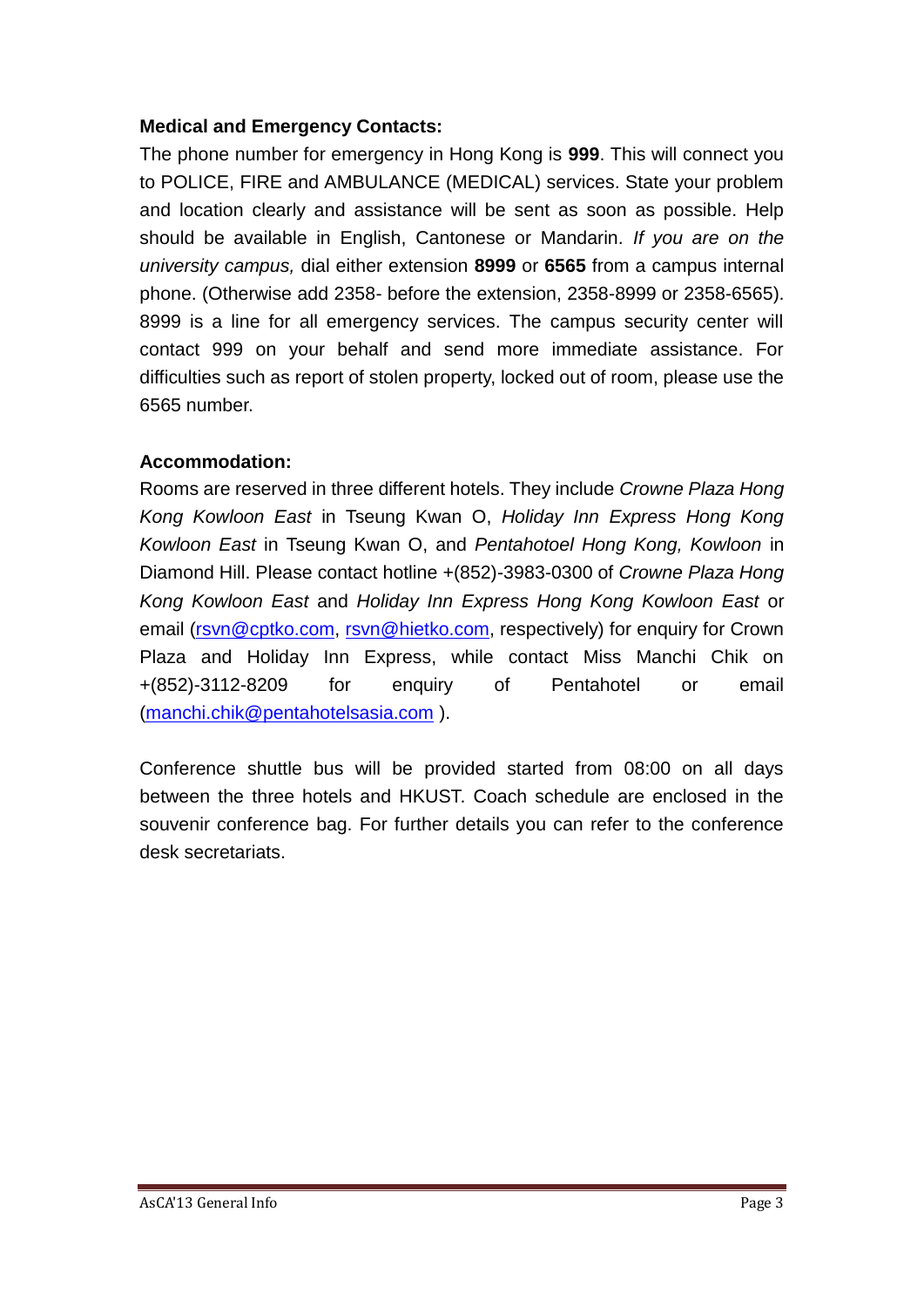#### **Medical and Emergency Contacts:**

The phone number for emergency in Hong Kong is **999**. This will connect you to POLICE, FIRE and AMBULANCE (MEDICAL) services. State your problem and location clearly and assistance will be sent as soon as possible. Help should be available in English, Cantonese or Mandarin. *If you are on the university campus,* dial either extension **8999** or **6565** from a campus internal phone. (Otherwise add 2358- before the extension, 2358-8999 or 2358-6565). 8999 is a line for all emergency services. The campus security center will contact 999 on your behalf and send more immediate assistance. For difficulties such as report of stolen property, locked out of room, please use the 6565 number.

#### **Accommodation:**

Rooms are reserved in three different hotels. They include *Crowne Plaza Hong Kong Kowloon East* in Tseung Kwan O, *Holiday Inn Express Hong Kong Kowloon East* in Tseung Kwan O, and *Pentahotoel Hong Kong, Kowloon* in Diamond Hill. Please contact hotline +(852)-3983-0300 of *Crowne Plaza Hong Kong Kowloon East* and *Holiday Inn Express Hong Kong Kowloon East* or email [\(rsvn@cptko.com,](mailto:rsvn@cptko.com) [rsvn@hietko.com,](mailto:rsvn@hietko.com) respectively) for enquiry for Crown Plaza and Holiday Inn Express, while contact Miss Manchi Chik on +(852)-3112-8209 for enquiry of Pentahotel or email [\(manchi.chik@pentahotelsasia.com](mailto:manchi.chik@pentahotelsasia.com) ).

Conference shuttle bus will be provided started from 08:00 on all days between the three hotels and HKUST. Coach schedule are enclosed in the souvenir conference bag. For further details you can refer to the conference desk secretariats.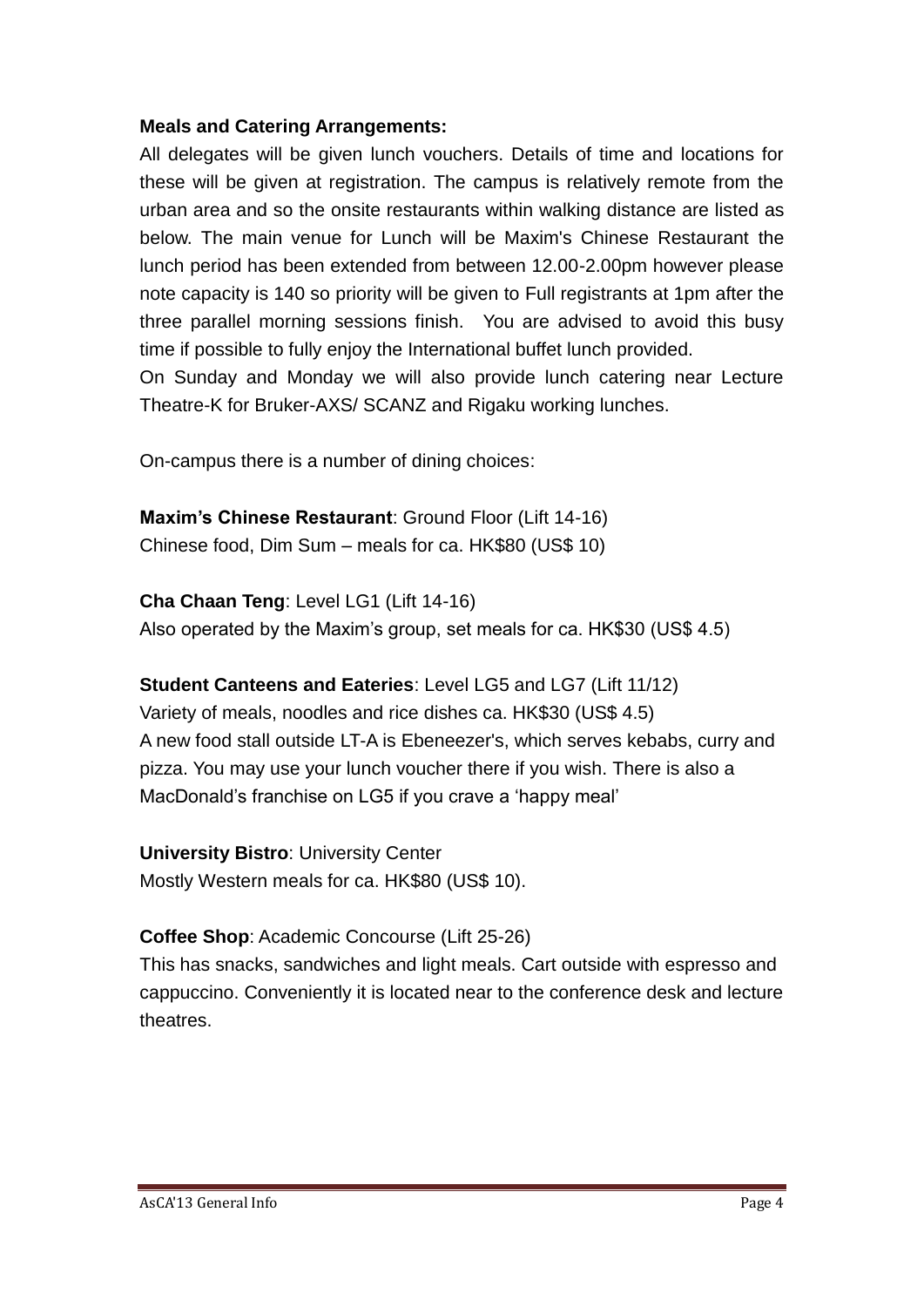#### **Meals and Catering Arrangements:**

All delegates will be given lunch vouchers. Details of time and locations for these will be given at registration. The campus is relatively remote from the urban area and so the onsite restaurants within walking distance are listed as below. The main venue for Lunch will be Maxim's Chinese Restaurant the lunch period has been extended from between 12.00-2.00pm however please note capacity is 140 so priority will be given to Full registrants at 1pm after the three parallel morning sessions finish. You are advised to avoid this busy time if possible to fully enjoy the International buffet lunch provided.

On Sunday and Monday we will also provide lunch catering near Lecture Theatre-K for Bruker-AXS/ SCANZ and Rigaku working lunches.

On-campus there is a number of dining choices:

**Maxim's Chinese Restaurant**: Ground Floor (Lift 14-16) Chinese food, Dim Sum – meals for ca. HK\$80 (US\$ 10)

**Cha Chaan Teng**: Level LG1 (Lift 14-16) Also operated by the Maxim's group, set meals for ca. HK\$30 (US\$ 4.5)

#### **Student Canteens and Eateries**: Level LG5 and LG7 (Lift 11/12)

Variety of meals, noodles and rice dishes ca. HK\$30 (US\$ 4.5) A new food stall outside LT-A is Ebeneezer's, which serves kebabs, curry and pizza. You may use your lunch voucher there if you wish. There is also a MacDonald's franchise on LG5 if you crave a 'happy meal'

**University Bistro**: University Center Mostly Western meals for ca. HK\$80 (US\$ 10).

## **Coffee Shop**: Academic Concourse (Lift 25-26)

This has snacks, sandwiches and light meals. Cart outside with espresso and cappuccino. Conveniently it is located near to the conference desk and lecture theatres.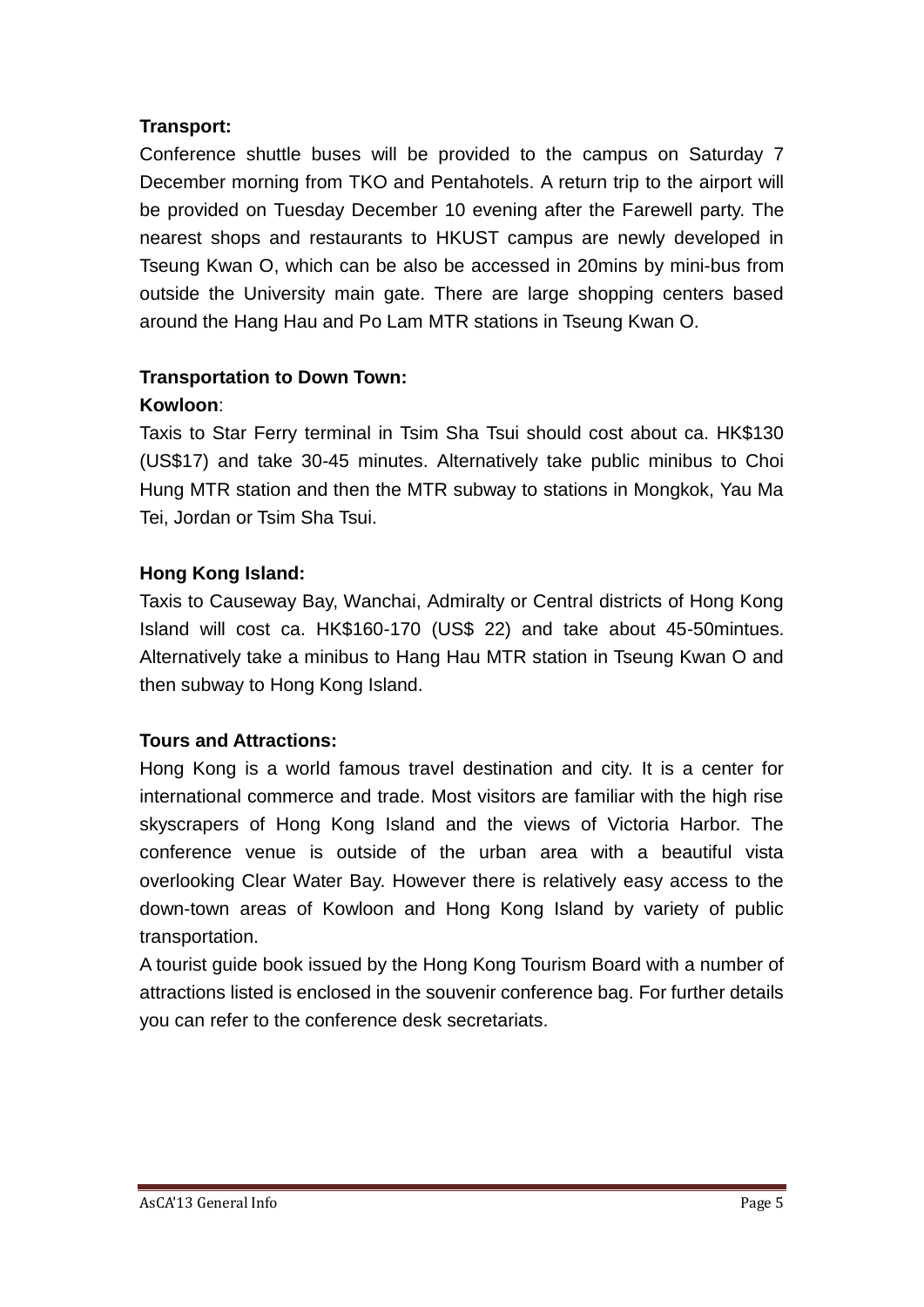## **Transport:**

Conference shuttle buses will be provided to the campus on Saturday 7 December morning from TKO and Pentahotels. A return trip to the airport will be provided on Tuesday December 10 evening after the Farewell party. The nearest shops and restaurants to HKUST campus are newly developed in Tseung Kwan O, which can be also be accessed in 20mins by mini-bus from outside the University main gate. There are large shopping centers based around the Hang Hau and Po Lam MTR stations in Tseung Kwan O.

## **Transportation to Down Town:**

## **Kowloon**:

Taxis to Star Ferry terminal in Tsim Sha Tsui should cost about ca. HK\$130 (US\$17) and take 30-45 minutes. Alternatively take public minibus to Choi Hung MTR station and then the MTR subway to stations in Mongkok, Yau Ma Tei, Jordan or Tsim Sha Tsui.

## **Hong Kong Island:**

Taxis to Causeway Bay, Wanchai, Admiralty or Central districts of Hong Kong Island will cost ca. HK\$160-170 (US\$ 22) and take about 45-50mintues. Alternatively take a minibus to Hang Hau MTR station in Tseung Kwan O and then subway to Hong Kong Island.

#### **Tours and Attractions:**

Hong Kong is a world famous travel destination and city. It is a center for international commerce and trade. Most visitors are familiar with the high rise skyscrapers of Hong Kong Island and the views of Victoria Harbor. The conference venue is outside of the urban area with a beautiful vista overlooking Clear Water Bay. However there is relatively easy access to the down-town areas of Kowloon and Hong Kong Island by variety of public transportation.

A tourist guide book issued by the Hong Kong Tourism Board with a number of attractions listed is enclosed in the souvenir conference bag. For further details you can refer to the conference desk secretariats.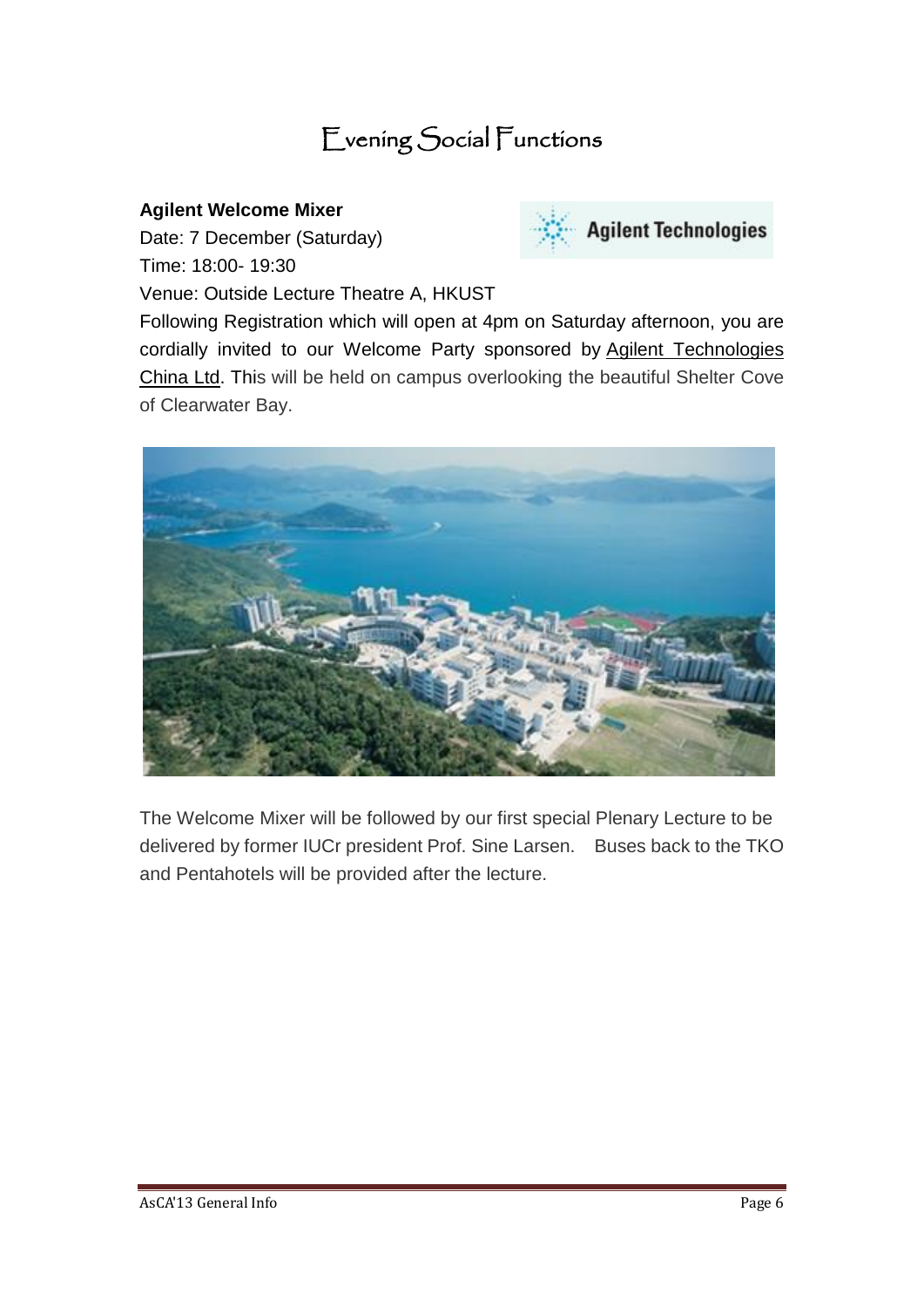## Evening Social Functions

#### **Agilent Welcome Mixer**

Date: 7 December (Saturday) Time: 18:00- 19:30

Venue: Outside Lecture Theatre A, HKUST



Following Registration which will open at 4pm on Saturday afternoon, you are cordially invited to our Welcome Party sponsored by Agilent Technologies China Ltd. This will be held on campus overlooking the beautiful Shelter Cove of Clearwater Bay.



The Welcome Mixer will be followed by our first special Plenary Lecture to be delivered by former IUCr president Prof. Sine Larsen. Buses back to the TKO and Pentahotels will be provided after the lecture.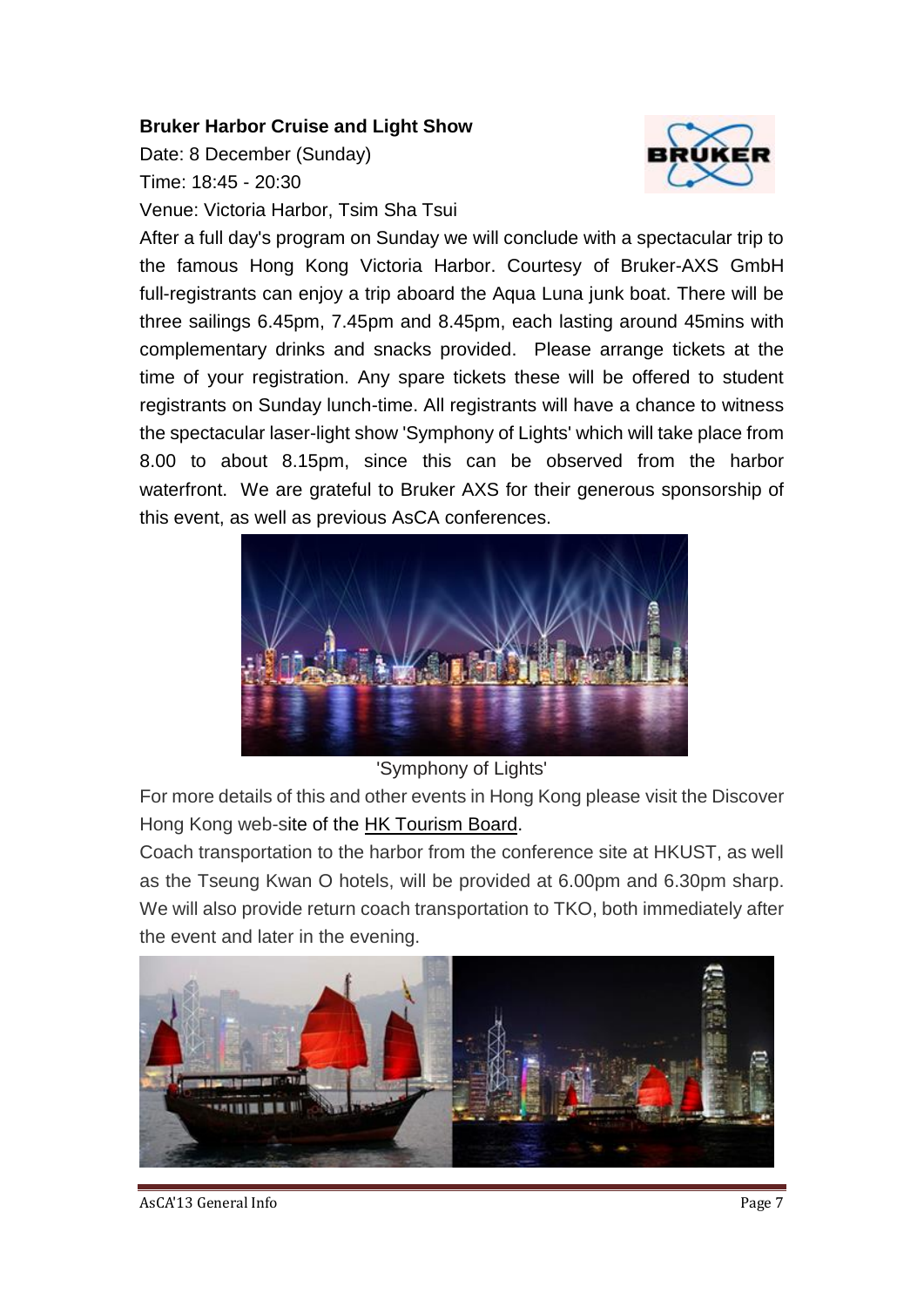#### **Bruker Harbor Cruise and Light Show**

Date: 8 December (Sunday) Time: 18:45 - 20:30 Venue: Victoria Harbor, Tsim Sha Tsui



After a full day's program on Sunday we will conclude with a spectacular trip to the famous Hong Kong Victoria Harbor. Courtesy of Bruker-AXS GmbH full-registrants can enjoy a trip aboard the Aqua Luna junk boat. There will be three sailings 6.45pm, 7.45pm and 8.45pm, each lasting around 45mins with complementary drinks and snacks provided. Please arrange tickets at the time of your registration. Any spare tickets these will be offered to student registrants on Sunday lunch-time. All registrants will have a chance to witness the spectacular laser-light show 'Symphony of Lights' which will take place from 8.00 to about 8.15pm, since this can be observed from the harbor waterfront. We are grateful to Bruker AXS for their generous sponsorship of this event, as well as previous AsCA conferences.



#### 'Symphony of Lights'

For more details of this and other events in Hong Kong please visit the Discover Hong Kong web-site of the HK Tourism Board.

Coach transportation to the harbor from the conference site at HKUST, as well as the Tseung Kwan O hotels, will be provided at 6.00pm and 6.30pm sharp. We will also provide return coach transportation to TKO, both immediately after the event and later in the evening.



AsCA'13 General Info Page 7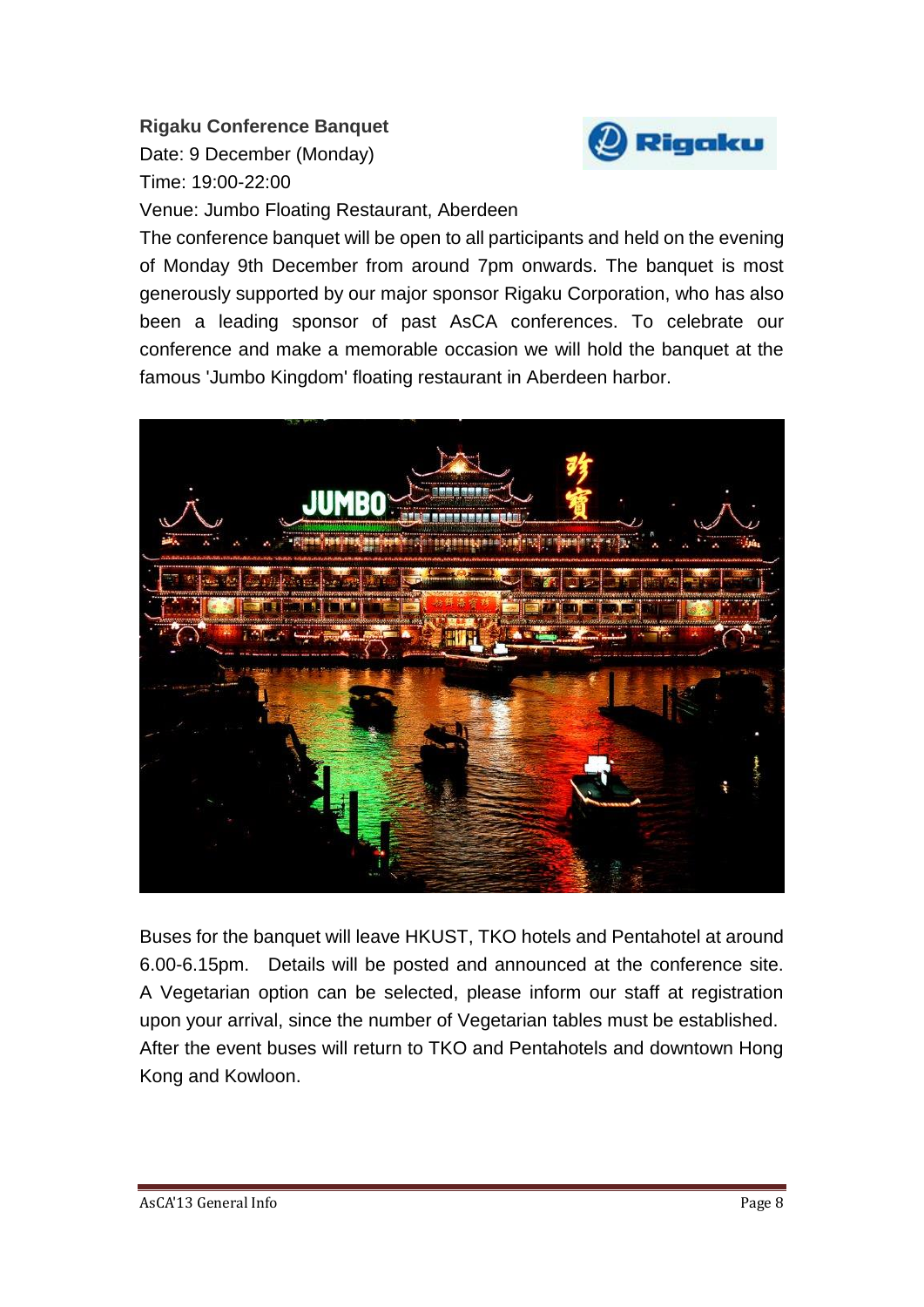## **Rigaku Conference Banquet**

Date: 9 December (Monday) Time: 19:00-22:00



Venue: Jumbo Floating Restaurant, Aberdeen

The conference banquet will be open to all participants and held on the evening of Monday 9th December from around 7pm onwards. The banquet is most generously supported by our major sponsor Rigaku [Corporation,](http://www.rigaku.com/) who has also been a leading sponsor of past AsCA conferences. To celebrate our conference and make a memorable occasion we will hold the banquet at the famous 'Jumbo [Kingdom'](http://www.jumbokingdom.com/eng/main.php) floating restaurant in Aberdeen harbor.



Buses for the banquet will leave HKUST, TKO hotels and Pentahotel at around 6.00-6.15pm. Details will be posted and announced at the conference site. A Vegetarian option can be selected, please inform our staff at registration upon your arrival, since the number of Vegetarian tables must be established. After the event buses will return to TKO and Pentahotels and downtown Hong Kong and Kowloon.